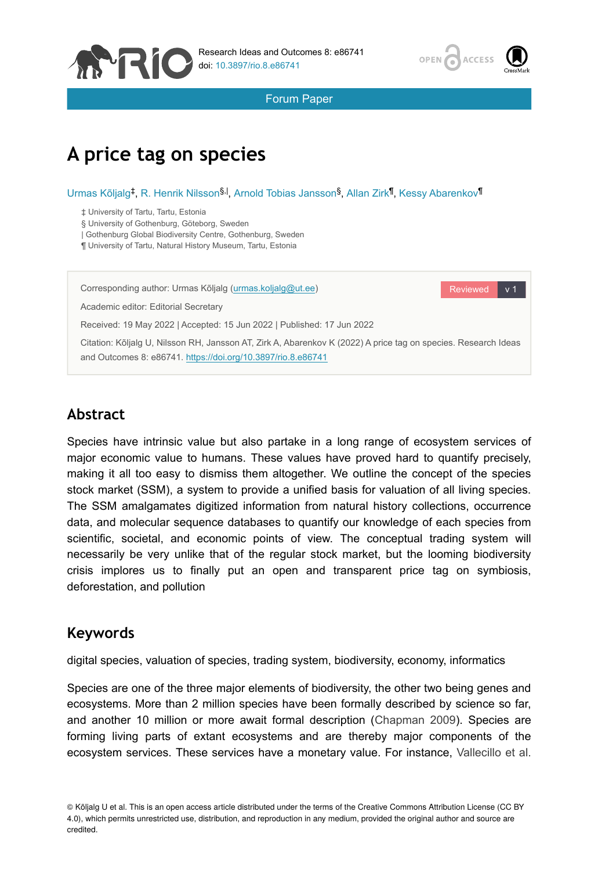



Forum Paper

# **A price tag on species**

#### Urmas Kõljalg<sup>‡</sup>, R. Henrik Nilsson<sup>§, |</sup>, Arnold Tobias Jansson<sup>§</sup>, Allan Zirk<sup>¶</sup>, Kessy Abarenkov<sup>¶</sup>

‡ University of Tartu, Tartu, Estonia

§ University of Gothenburg, Göteborg, Sweden

| Gothenburg Global Biodiversity Centre, Gothenburg, Sweden

¶ University of Tartu, Natural History Museum, Tartu, Estonia

Corresponding author: Urmas Kõljalg [\(urmas.koljalg@ut.ee](mailto:urmas.koljalg@ut.ee))

Reviewed v 1

Academic editor: Editorial Secretary

Received: 19 May 2022 | Accepted: 15 Jun 2022 | Published: 17 Jun 2022

Citation: Kõljalg U, Nilsson RH, Jansson AT, Zirk A, Abarenkov K (2022) A price tag on species. Research Ideas and Outcomes 8: e86741.<https://doi.org/10.3897/rio.8.e86741>

## **Abstract**

Species have intrinsic value but also partake in a long range of ecosystem services of major economic value to humans. These values have proved hard to quantify precisely, making it all too easy to dismiss them altogether. We outline the concept of the species stock market (SSM), a system to provide a unified basis for valuation of all living species. The SSM amalgamates digitized information from natural history collections, occurrence data, and molecular sequence databases to quantify our knowledge of each species from scientific, societal, and economic points of view. The conceptual trading system will necessarily be very unlike that of the regular stock market, but the looming biodiversity crisis implores us to finally put an open and transparent price tag on symbiosis, deforestation, and pollution

### **Keywords**

digital species, valuation of species, trading system, biodiversity, economy, informatics

Species are one of the three major elements of biodiversity, the other two being genes and ecosystems. More than 2 million species have been formally described by science so far, and another 10 million or more await formal description ([Chapman 2009](#page-5-0)). Species are forming living parts of extant ecosystems and are thereby major components of the ecosystem services. These services have a monetary value. For instance, [Vallecillo et al.](#page-6-0)

<sup>©</sup> Kõljalg U et al. This is an open access article distributed under the terms of the Creative Commons Attribution License (CC BY 4.0), which permits unrestricted use, distribution, and reproduction in any medium, provided the original author and source are credited.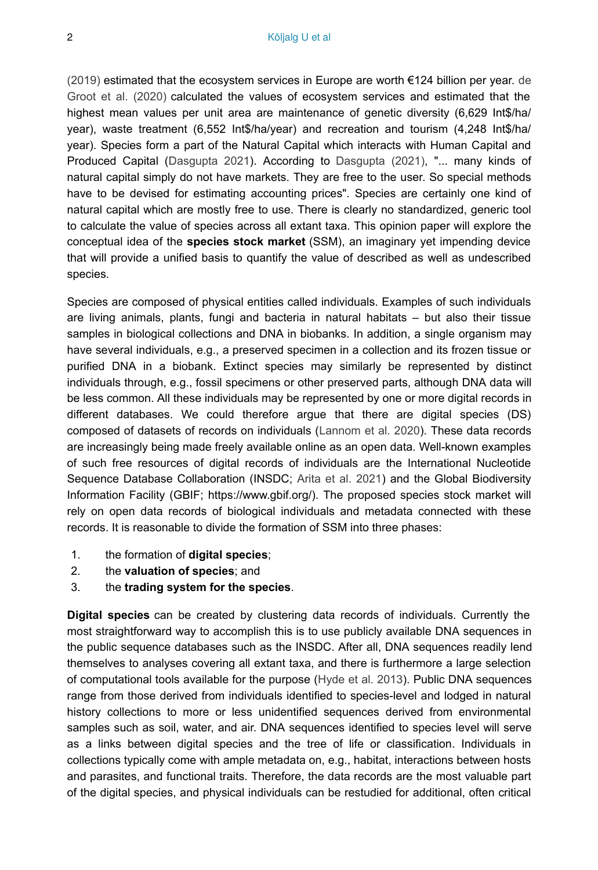$(2019)$  estimated that the ecosystem services in Europe are worth  $\epsilon$ 124 billion per year. [de](#page-5-1) [Groot et al. \(2020\)](#page-5-1) calculated the values of ecosystem services and estimated that the highest mean values per unit area are maintenance of genetic diversity (6,629 Int\$/ha/ year), waste treatment (6,552 Int\$/ha/year) and recreation and tourism (4,248 Int\$/ha/ year). Species form a part of the Natural Capital which interacts with Human Capital and Produced Capital ([Dasgupta 2021](#page-5-2)). According to [Dasgupta \(2021\),](#page-5-2) "... many kinds of natural capital simply do not have markets. They are free to the user. So special methods have to be devised for estimating accounting prices". Species are certainly one kind of natural capital which are mostly free to use. There is clearly no standardized, generic tool to calculate the value of species across all extant taxa. This opinion paper will explore the conceptual idea of the **species stock market** (SSM), an imaginary yet impending device that will provide a unified basis to quantify the value of described as well as undescribed species.

Species are composed of physical entities called individuals. Examples of such individuals are living animals, plants, fungi and bacteria in natural habitats – but also their tissue samples in biological collections and DNA in biobanks. In addition, a single organism may have several individuals, e.g., a preserved specimen in a collection and its frozen tissue or purified DNA in a biobank. Extinct species may similarly be represented by distinct individuals through, e.g., fossil specimens or other preserved parts, although DNA data will be less common. All these individuals may be represented by one or more digital records in different databases. We could therefore argue that there are digital species (DS) composed of datasets of records on individuals [\(Lannom et al. 2020](#page-6-1)). These data records are increasingly being made freely available online as an open data. Well-known examples of such free resources of digital records of individuals are the International Nucleotide Sequence Database Collaboration (INSDC; [Arita et al. 2021](#page-5-3)) and the Global Biodiversity Information Facility (GBIF; https://www.gbif.org/). The proposed species stock market will rely on open data records of biological individuals and metadata connected with these records. It is reasonable to divide the formation of SSM into three phases:

- 1. the formation of **digital species**;
- 2. the **valuation of species**; and
- 3. the **trading system for the species**.

**Digital species** can be created by clustering data records of individuals. Currently the most straightforward way to accomplish this is to use publicly available DNA sequences in the public sequence databases such as the INSDC. After all, DNA sequences readily lend themselves to analyses covering all extant taxa, and there is furthermore a large selection of computational tools available for the purpose ([Hyde et al. 2013\)](#page-5-4). Public DNA sequences range from those derived from individuals identified to species-level and lodged in natural history collections to more or less unidentified sequences derived from environmental samples such as soil, water, and air. DNA sequences identified to species level will serve as a links between digital species and the tree of life or classification. Individuals in collections typically come with ample metadata on, e.g., habitat, interactions between hosts and parasites, and functional traits. Therefore, the data records are the most valuable part of the digital species, and physical individuals can be restudied for additional, often critical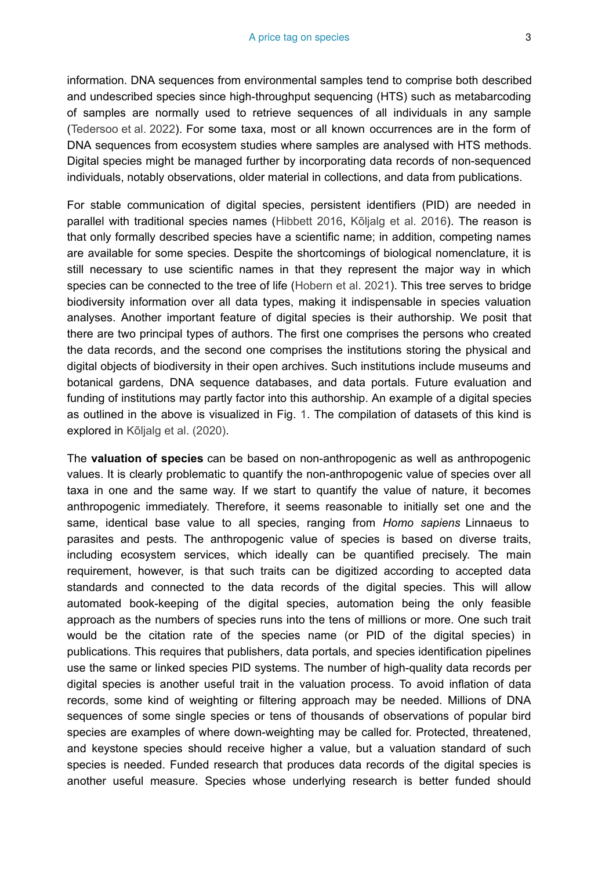information. DNA sequences from environmental samples tend to comprise both described and undescribed species since high-throughput sequencing (HTS) such as metabarcoding of samples are normally used to retrieve sequences of all individuals in any sample [\(Tedersoo et al. 2022\)](#page-6-2). For some taxa, most or all known occurrences are in the form of DNA sequences from ecosystem studies where samples are analysed with HTS methods. Digital species might be managed further by incorporating data records of non-sequenced individuals, notably observations, older material in collections, and data from publications.

For stable communication of digital species, persistent identifiers (PID) are needed in parallel with traditional species names ([Hibbett 2016,](#page-5-5) [Kõljalg et al. 2016](#page-5-6)). The reason is that only formally described species have a scientific name; in addition, competing names are available for some species. Despite the shortcomings of biological nomenclature, it is still necessary to use scientific names in that they represent the major way in which species can be connected to the tree of life ([Hobern et al. 2021](#page-5-7)). This tree serves to bridge biodiversity information over all data types, making it indispensable in species valuation analyses. Another important feature of digital species is their authorship. We posit that there are two principal types of authors. The first one comprises the persons who created the data records, and the second one comprises the institutions storing the physical and digital objects of biodiversity in their open archives. Such institutions include museums and botanical gardens, DNA sequence databases, and data portals. Future evaluation and funding of institutions may partly factor into this authorship. An example of a digital species as outlined in the above is visualized in Fig. [1.](#page-3-0) The compilation of datasets of this kind is explored in [Kõljalg et al. \(2020\).](#page-6-3)

The **valuation of species** can be based on non-anthropogenic as well as anthropogenic values. It is clearly problematic to quantify the non-anthropogenic value of species over all taxa in one and the same way. If we start to quantify the value of nature, it becomes anthropogenic immediately. Therefore, it seems reasonable to initially set one and the same, identical base value to all species, ranging from *Homo sapiens* Linnaeus to parasites and pests. The anthropogenic value of species is based on diverse traits, including ecosystem services, which ideally can be quantified precisely. The main requirement, however, is that such traits can be digitized according to accepted data standards and connected to the data records of the digital species. This will allow automated book-keeping of the digital species, automation being the only feasible approach as the numbers of species runs into the tens of millions or more. One such trait would be the citation rate of the species name (or PID of the digital species) in publications. This requires that publishers, data portals, and species identification pipelines use the same or linked species PID systems. The number of high-quality data records per digital species is another useful trait in the valuation process. To avoid inflation of data records, some kind of weighting or filtering approach may be needed. Millions of DNA sequences of some single species or tens of thousands of observations of popular bird species are examples of where down-weighting may be called for. Protected, threatened, and keystone species should receive higher a value, but a valuation standard of such species is needed. Funded research that produces data records of the digital species is another useful measure. Species whose underlying research is better funded should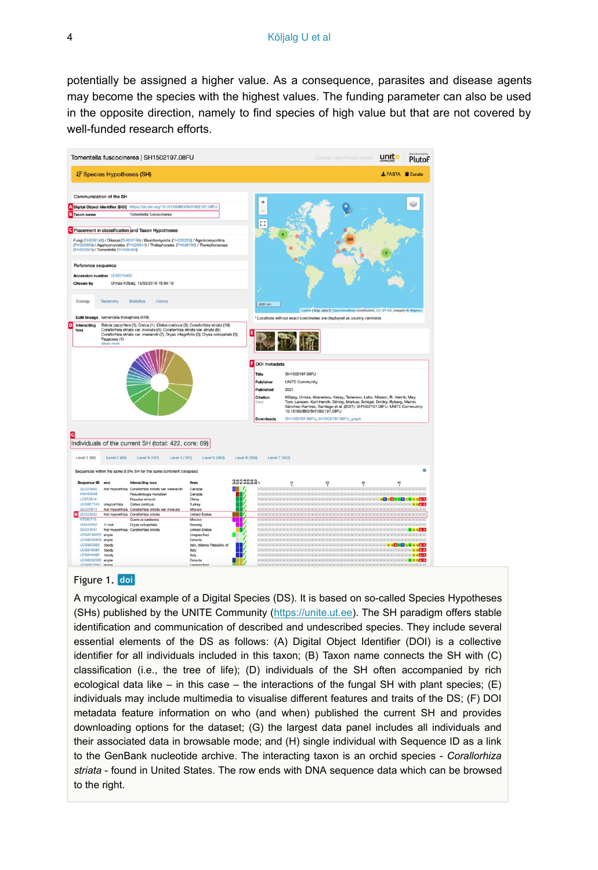potentially be assigned a higher value. As a consequence, parasites and disease agents may become the species with the highest values. The funding parameter can also be used in the opposite direction, namely to find species of high value but that are not covered by well-funded research efforts.

<span id="page-3-0"></span>

#### Figure 1. doi

A mycological example of a Digital Species (DS). It is based on so-called Species Hypotheses (SHs) published by the UNITE Community ([https://unite.ut.ee](https://unite.ut.ee/)). The SH paradigm offers stable identification and communication of described and undescribed species. They include several essential elements of the DS as follows: (A) Digital Object Identifier (DOI) is a collective identifier for all individuals included in this taxon; (B) Taxon name connects the SH with (C) classification (i.e., the tree of life); (D) individuals of the SH often accompanied by rich ecological data like – in this case – the interactions of the fungal SH with plant species;  $(E)$ individuals may include multimedia to visualise different features and traits of the DS; (F) DOI metadata feature information on who (and when) published the current SH and provides downloading options for the dataset; (G) the largest data panel includes all individuals and their associated data in browsable mode; and (H) single individual with Sequence ID as a link to the GenBank nucleotide archive. The interacting taxon is an orchid species - *Corallorhiza striata* - found in United States. The row ends with DNA sequence data which can be browsed to the right.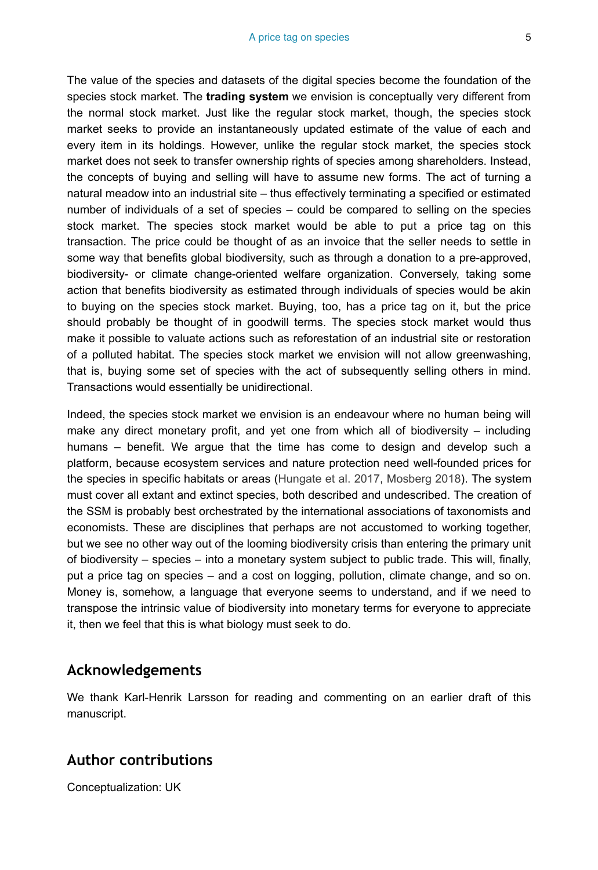The value of the species and datasets of the digital species become the foundation of the species stock market. The **trading system** we envision is conceptually very different from the normal stock market. Just like the regular stock market, though, the species stock market seeks to provide an instantaneously updated estimate of the value of each and every item in its holdings. However, unlike the regular stock market, the species stock market does not seek to transfer ownership rights of species among shareholders. Instead, the concepts of buying and selling will have to assume new forms. The act of turning a natural meadow into an industrial site – thus effectively terminating a specified or estimated number of individuals of a set of species – could be compared to selling on the species stock market. The species stock market would be able to put a price tag on this transaction. The price could be thought of as an invoice that the seller needs to settle in some way that benefits global biodiversity, such as through a donation to a pre-approved, biodiversity- or climate change-oriented welfare organization. Conversely, taking some action that benefits biodiversity as estimated through individuals of species would be akin to buying on the species stock market. Buying, too, has a price tag on it, but the price should probably be thought of in goodwill terms. The species stock market would thus make it possible to valuate actions such as reforestation of an industrial site or restoration of a polluted habitat. The species stock market we envision will not allow greenwashing, that is, buying some set of species with the act of subsequently selling others in mind. Transactions would essentially be unidirectional.

Indeed, the species stock market we envision is an endeavour where no human being will make any direct monetary profit, and yet one from which all of biodiversity – including humans – benefit. We argue that the time has come to design and develop such a platform, because ecosystem services and nature protection need well-founded prices for the species in specific habitats or areas [\(Hungate et al. 2017](#page-5-8), [Mosberg 2018](#page-6-4)). The system must cover all extant and extinct species, both described and undescribed. The creation of the SSM is probably best orchestrated by the international associations of taxonomists and economists. These are disciplines that perhaps are not accustomed to working together, but we see no other way out of the looming biodiversity crisis than entering the primary unit of biodiversity – species – into a monetary system subject to public trade. This will, finally, put a price tag on species – and a cost on logging, pollution, climate change, and so on. Money is, somehow, a language that everyone seems to understand, and if we need to transpose the intrinsic value of biodiversity into monetary terms for everyone to appreciate it, then we feel that this is what biology must seek to do.

### **Acknowledgements**

We thank Karl-Henrik Larsson for reading and commenting on an earlier draft of this manuscript.

# **Author contributions**

Conceptualization: UK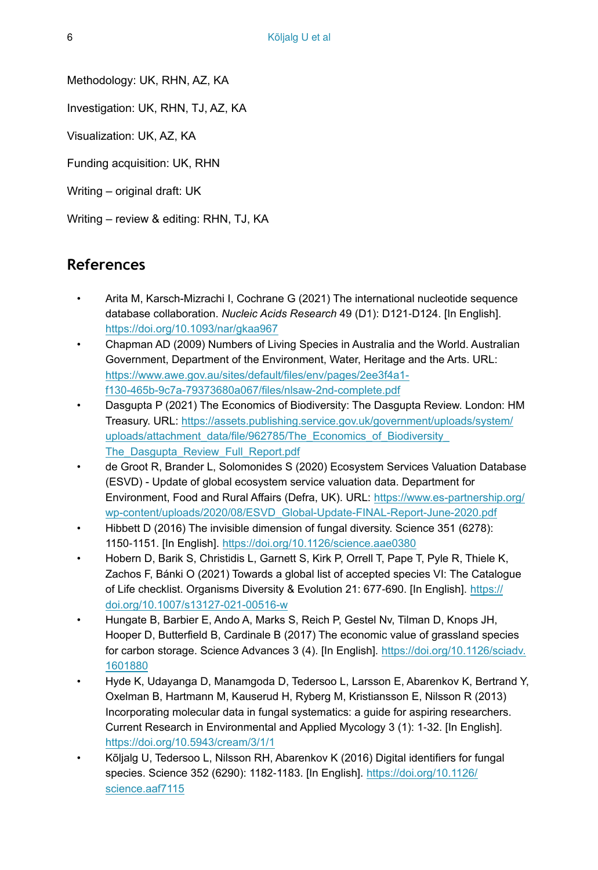Methodology: UK, RHN, AZ, KA

Investigation: UK, RHN, TJ, AZ, KA

Visualization: UK, AZ, KA

Funding acquisition: UK, RHN

Writing – original draft: UK

Writing – review & editing: RHN, TJ, KA

### **References**

- <span id="page-5-3"></span>• Arita M, Karsch-Mizrachi I, Cochrane G (2021) The international nucleotide sequence database collaboration. *Nucleic Acids Research* 49 (D1): D121‑D124. [In English]. <https://doi.org/10.1093/nar/gkaa967>
- <span id="page-5-0"></span>• Chapman AD (2009) Numbers of Living Species in Australia and the World. Australian Government, Department of the Environment, Water, Heritage and the Arts. URL: [https://www.awe.gov.au/sites/default/files/env/pages/2ee3f4a1](https://www.awe.gov.au/sites/default/files/env/pages/2ee3f4a1-f130-465b-9c7a-79373680a067/files/nlsaw-2nd-complete.pdf) [f130-465b-9c7a-79373680a067/files/nlsaw-2nd-complete.pdf](https://www.awe.gov.au/sites/default/files/env/pages/2ee3f4a1-f130-465b-9c7a-79373680a067/files/nlsaw-2nd-complete.pdf)
- <span id="page-5-2"></span>• Dasgupta P (2021) The Economics of Biodiversity: The Dasgupta Review. London: HM Treasury. URL: [https://assets.publishing.service.gov.uk/government/uploads/system/](https://assets.publishing.service.gov.uk/government/uploads/system/uploads/attachment_data/file/962785/The_Economics_of_Biodiversity_The_Dasgupta_Review_Full_Report.pdf) uploads/attachment\_data/file/962785/The\_Economics\_of\_Biodiversity [The\\_Dasgupta\\_Review\\_Full\\_Report.pdf](https://assets.publishing.service.gov.uk/government/uploads/system/uploads/attachment_data/file/962785/The_Economics_of_Biodiversity_The_Dasgupta_Review_Full_Report.pdf)
- <span id="page-5-1"></span>• de Groot R, Brander L, Solomonides S (2020) Ecosystem Services Valuation Database (ESVD) - Update of global ecosystem service valuation data. Department for Environment, Food and Rural Affairs (Defra, UK). URL: [https://www.es-partnership.org/](https://www.es-partnership.org/wp-content/uploads/2020/08/ESVD_Global-Update-FINAL-Report-June-2020.pdf) [wp-content/uploads/2020/08/ESVD\\_Global-Update-FINAL-Report-June-2020.pdf](https://www.es-partnership.org/wp-content/uploads/2020/08/ESVD_Global-Update-FINAL-Report-June-2020.pdf)
- <span id="page-5-5"></span>• Hibbett D (2016) The invisible dimension of fungal diversity. Science 351 (6278): 1150‑1151. [In English]. <https://doi.org/10.1126/science.aae0380>
- <span id="page-5-7"></span>• Hobern D, Barik S, Christidis L, Garnett S, Kirk P, Orrell T, Pape T, Pyle R, Thiele K, Zachos F, Bánki O (2021) Towards a global list of accepted species VI: The Catalogue of Life checklist. Organisms Diversity & Evolution 21: 677‑690. [In English]. [https://](https://doi.org/10.1007/s13127-021-00516-w) [doi.org/10.1007/s13127-021-00516-w](https://doi.org/10.1007/s13127-021-00516-w)
- <span id="page-5-8"></span>• Hungate B, Barbier E, Ando A, Marks S, Reich P, Gestel Nv, Tilman D, Knops JH, Hooper D, Butterfield B, Cardinale B (2017) The economic value of grassland species for carbon storage. Science Advances 3 (4). [In English]. [https://doi.org/10.1126/sciadv.](https://doi.org/10.1126/sciadv.1601880) [1601880](https://doi.org/10.1126/sciadv.1601880)
- <span id="page-5-4"></span>• Hyde K, Udayanga D, Manamgoda D, Tedersoo L, Larsson E, Abarenkov K, Bertrand Y, Oxelman B, Hartmann M, Kauserud H, Ryberg M, Kristiansson E, Nilsson R (2013) Incorporating molecular data in fungal systematics: a guide for aspiring researchers. Current Research in Environmental and Applied Mycology 3 (1): 1‑32. [In English]. <https://doi.org/10.5943/cream/3/1/1>
- <span id="page-5-6"></span>• Kõljalg U, Tedersoo L, Nilsson RH, Abarenkov K (2016) Digital identifiers for fungal species. Science 352 (6290): 1182‑1183. [In English]. [https://doi.org/10.1126/](https://doi.org/10.1126/science.aaf7115) [science.aaf7115](https://doi.org/10.1126/science.aaf7115)